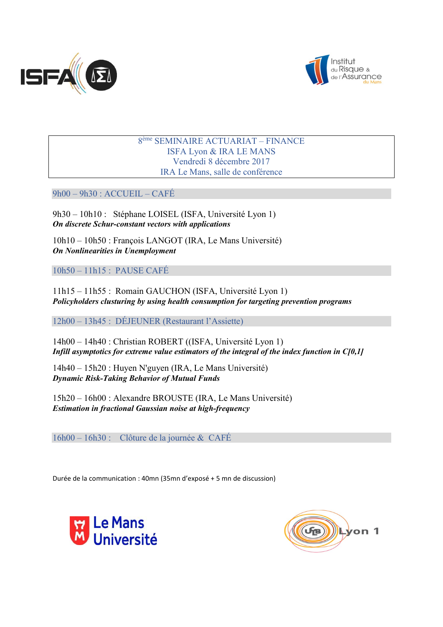



### 8ème SEMINAIRE ACTUARIAT – FINANCE ISFA Lyon & IRA LE MANS Vendredi 8 décembre 2017 IRA Le Mans, salle de conférence

9h00 – 9h30 : ACCUEIL – CAFÉ

9h30 – 10h10 : Stéphane LOISEL (ISFA, Université Lyon 1) *On discrete Schur-constant vectors with applications*

10h10 – 10h50 : François LANGOT (IRA, Le Mans Université) *On Nonlinearities in Unemployment*

10h50 – 11h15 : PAUSE CAFÉ

11h15 – 11h55 : Romain GAUCHON (ISFA, Université Lyon 1) *Policyholders clusturing by using health consumption for targeting prevention programs*

12h00 – 13h45 : DÉJEUNER (Restaurant l'Assiette)

14h00 – 14h40 : Christian ROBERT ((ISFA, Université Lyon 1) *Infill asymptotics for extreme value estimators of the integral of the index function in C[0,1]*

14h40 – 15h20 : Huyen N'guyen (IRA, Le Mans Université) *Dynamic Risk-Taking Behavior of Mutual Funds*

15h20 – 16h00 : Alexandre BROUSTE (IRA, Le Mans Université) *Estimation in fractional Gaussian noise at high-frequency*

16h00 – 16h30 : Clôture de la journée & CAFÉ

Durée de la communication : 40mn (35mn d'exposé + 5 mn de discussion)



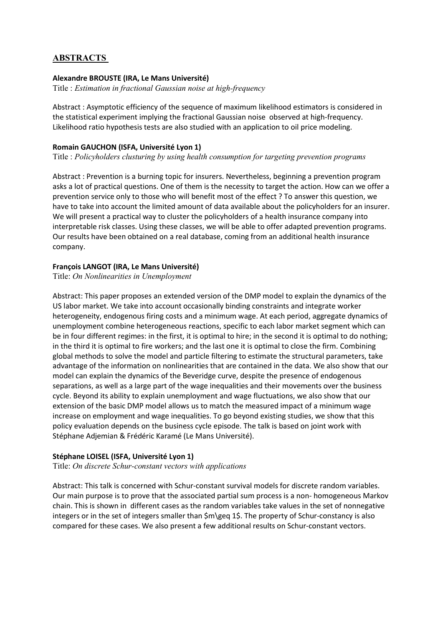# ABSTRACTS

### Alexandre BROUSTE (IRA, Le Mans Université)

Title : *Estimation in fractional Gaussian noise at high-frequency*

Abstract : Asymptotic efficiency of the sequence of maximum likelihood estimators is considered in the statistical experiment implying the fractional Gaussian noise observed at high-frequency. Likelihood ratio hypothesis tests are also studied with an application to oil price modeling.

### Romain GAUCHON (ISFA, Université Lyon 1)

Title : *Policyholders clusturing by using health consumption for targeting prevention programs*

Abstract : Prevention is a burning topic for insurers. Nevertheless, beginning a prevention program asks a lot of practical questions. One of them is the necessity to target the action. How can we offer a prevention service only to those who will benefit most of the effect ? To answer this question, we have to take into account the limited amount of data available about the policyholders for an insurer. We will present a practical way to cluster the policyholders of a health insurance company into interpretable risk classes. Using these classes, we will be able to offer adapted prevention programs. Our results have been obtained on a real database, coming from an additional health insurance company.

### François LANGOT (IRA, Le Mans Université)

Title: *On Nonlinearities in Unemployment*

Abstract: This paper proposes an extended version of the DMP model to explain the dynamics of the US labor market. We take into account occasionally binding constraints and integrate worker heterogeneity, endogenous firing costs and a minimum wage. At each period, aggregate dynamics of unemployment combine heterogeneous reactions, specific to each labor market segment which can be in four different regimes: in the first, it is optimal to hire; in the second it is optimal to do nothing; in the third it is optimal to fire workers; and the last one it is optimal to close the firm. Combining global methods to solve the model and particle filtering to estimate the structural parameters, take advantage of the information on nonlinearities that are contained in the data. We also show that our model can explain the dynamics of the Beveridge curve, despite the presence of endogenous separations, as well as a large part of the wage inequalities and their movements over the business cycle. Beyond its ability to explain unemployment and wage fluctuations, we also show that our extension of the basic DMP model allows us to match the measured impact of a minimum wage increase on employment and wage inequalities. To go beyond existing studies, we show that this policy evaluation depends on the business cycle episode. The talk is based on joint work with Stéphane Adjemian & Frédéric Karamé (Le Mans Université).

#### Stéphane LOISEL (ISFA, Université Lyon 1)

Title: *On discrete Schur-constant vectors with applications*

Abstract: This talk is concerned with Schur-constant survival models for discrete random variables. Our main purpose is to prove that the associated partial sum process is a non- homogeneous Markov chain. This is shown in different cases as the random variables take values in the set of nonnegative integers or in the set of integers smaller than \$m\geq 1\$. The property of Schur-constancy is also compared for these cases. We also present a few additional results on Schur-constant vectors.